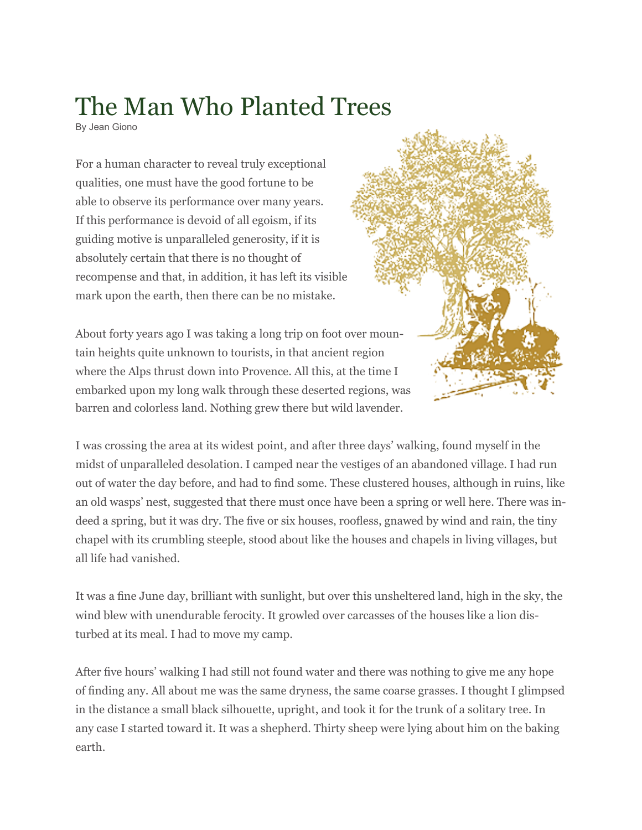## The Man Who Planted Trees

By Jean Giono

For a human character to reveal truly exceptional qualities, one must have the good fortune to be able to observe its performance over many years. If this performance is devoid of all egoism, if its guiding motive is unparalleled generosity, if it is absolutely certain that there is no thought of recompense and that, in addition, it has left its visible mark upon the earth, then there can be no mistake.

About forty years ago I was taking a long trip on foot over mountain heights quite unknown to tourists, in that ancient region where the Alps thrust down into Provence. All this, at the time I embarked upon my long walk through these deserted regions, was barren and colorless land. Nothing grew there but wild lavender.

I was crossing the area at its widest point, and after three days' walking, found myself in the midst of unparalleled desolation. I camped near the vestiges of an abandoned village. I had run out of water the day before, and had to find some. These clustered houses, although in ruins, like an old wasps' nest, suggested that there must once have been a spring or well here. There was indeed a spring, but it was dry. The five or six houses, roofless, gnawed by wind and rain, the tiny chapel with its crumbling steeple, stood about like the houses and chapels in living villages, but all life had vanished.

It was a fine June day, brilliant with sunlight, but over this unsheltered land, high in the sky, the wind blew with unendurable ferocity. It growled over carcasses of the houses like a lion disturbed at its meal. I had to move my camp.

After five hours' walking I had still not found water and there was nothing to give me any hope of finding any. All about me was the same dryness, the same coarse grasses. I thought I glimpsed in the distance a small black silhouette, upright, and took it for the trunk of a solitary tree. In any case I started toward it. It was a shepherd. Thirty sheep were lying about him on the baking earth.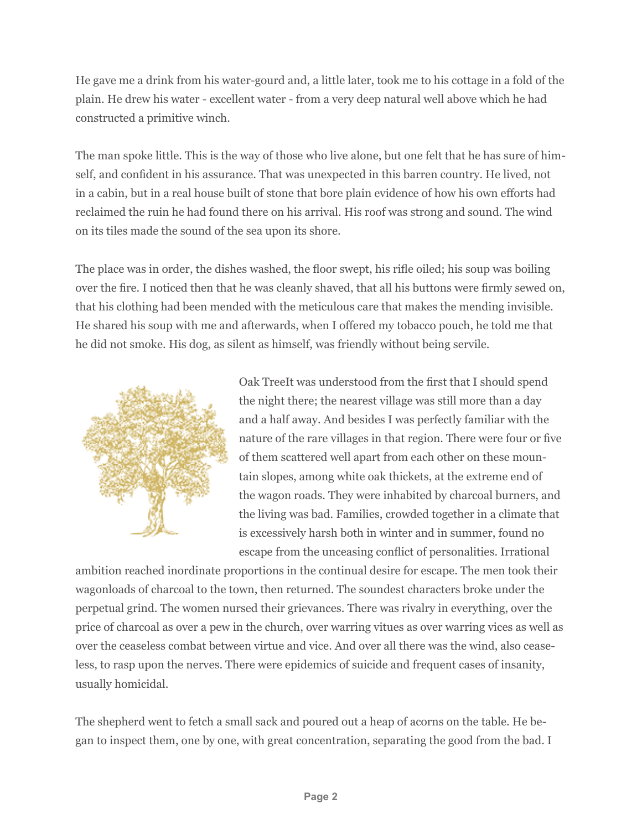He gave me a drink from his water-gourd and, a little later, took me to his cottage in a fold of the plain. He drew his water - excellent water - from a very deep natural well above which he had constructed a primitive winch.

The man spoke little. This is the way of those who live alone, but one felt that he has sure of himself, and confident in his assurance. That was unexpected in this barren country. He lived, not in a cabin, but in a real house built of stone that bore plain evidence of how his own efforts had reclaimed the ruin he had found there on his arrival. His roof was strong and sound. The wind on its tiles made the sound of the sea upon its shore.

The place was in order, the dishes washed, the floor swept, his rifle oiled; his soup was boiling over the fire. I noticed then that he was cleanly shaved, that all his buttons were firmly sewed on, that his clothing had been mended with the meticulous care that makes the mending invisible. He shared his soup with me and afterwards, when I offered my tobacco pouch, he told me that he did not smoke. His dog, as silent as himself, was friendly without being servile.



Oak TreeIt was understood from the first that I should spend the night there; the nearest village was still more than a day and a half away. And besides I was perfectly familiar with the nature of the rare villages in that region. There were four or five of them scattered well apart from each other on these mountain slopes, among white oak thickets, at the extreme end of the wagon roads. They were inhabited by charcoal burners, and the living was bad. Families, crowded together in a climate that is excessively harsh both in winter and in summer, found no escape from the unceasing conflict of personalities. Irrational

ambition reached inordinate proportions in the continual desire for escape. The men took their wagonloads of charcoal to the town, then returned. The soundest characters broke under the perpetual grind. The women nursed their grievances. There was rivalry in everything, over the price of charcoal as over a pew in the church, over warring vitues as over warring vices as well as over the ceaseless combat between virtue and vice. And over all there was the wind, also ceaseless, to rasp upon the nerves. There were epidemics of suicide and frequent cases of insanity, usually homicidal.

The shepherd went to fetch a small sack and poured out a heap of acorns on the table. He began to inspect them, one by one, with great concentration, separating the good from the bad. I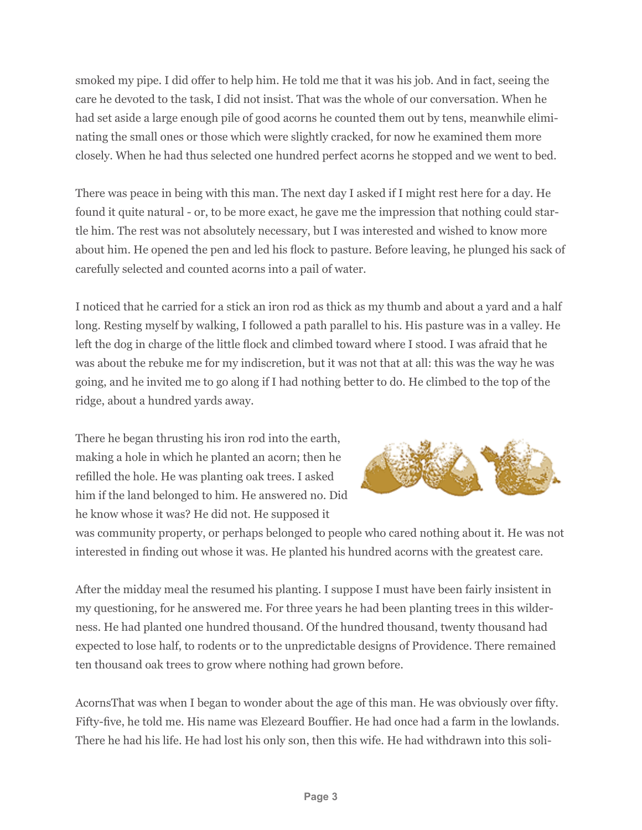smoked my pipe. I did offer to help him. He told me that it was his job. And in fact, seeing the care he devoted to the task, I did not insist. That was the whole of our conversation. When he had set aside a large enough pile of good acorns he counted them out by tens, meanwhile eliminating the small ones or those which were slightly cracked, for now he examined them more closely. When he had thus selected one hundred perfect acorns he stopped and we went to bed.

There was peace in being with this man. The next day I asked if I might rest here for a day. He found it quite natural - or, to be more exact, he gave me the impression that nothing could startle him. The rest was not absolutely necessary, but I was interested and wished to know more about him. He opened the pen and led his flock to pasture. Before leaving, he plunged his sack of carefully selected and counted acorns into a pail of water.

I noticed that he carried for a stick an iron rod as thick as my thumb and about a yard and a half long. Resting myself by walking, I followed a path parallel to his. His pasture was in a valley. He left the dog in charge of the little flock and climbed toward where I stood. I was afraid that he was about the rebuke me for my indiscretion, but it was not that at all: this was the way he was going, and he invited me to go along if I had nothing better to do. He climbed to the top of the ridge, about a hundred yards away.

There he began thrusting his iron rod into the earth, making a hole in which he planted an acorn; then he refilled the hole. He was planting oak trees. I asked him if the land belonged to him. He answered no. Did he know whose it was? He did not. He supposed it



was community property, or perhaps belonged to people who cared nothing about it. He was not interested in finding out whose it was. He planted his hundred acorns with the greatest care.

After the midday meal the resumed his planting. I suppose I must have been fairly insistent in my questioning, for he answered me. For three years he had been planting trees in this wilderness. He had planted one hundred thousand. Of the hundred thousand, twenty thousand had expected to lose half, to rodents or to the unpredictable designs of Providence. There remained ten thousand oak trees to grow where nothing had grown before.

AcornsThat was when I began to wonder about the age of this man. He was obviously over fifty. Fifty-five, he told me. His name was Elezeard Bouffier. He had once had a farm in the lowlands. There he had his life. He had lost his only son, then this wife. He had withdrawn into this soli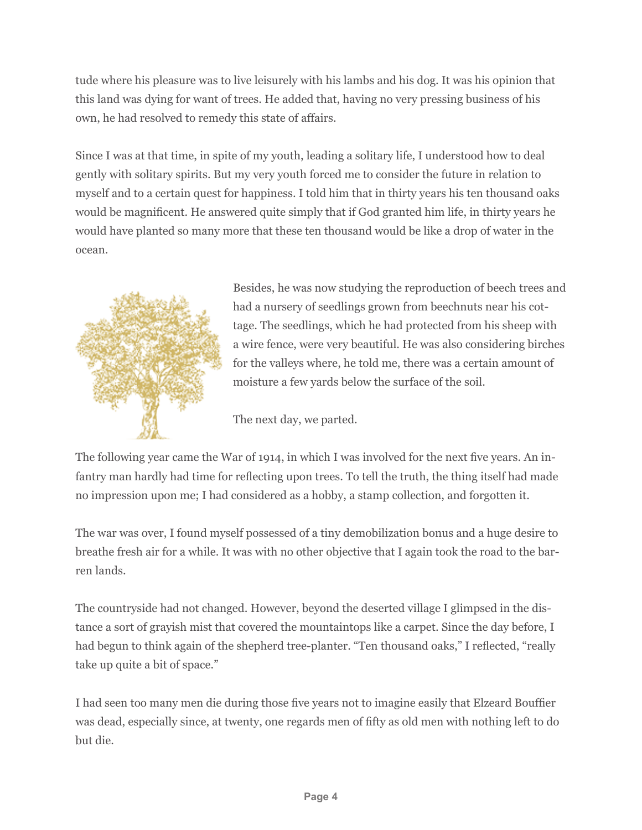tude where his pleasure was to live leisurely with his lambs and his dog. It was his opinion that this land was dying for want of trees. He added that, having no very pressing business of his own, he had resolved to remedy this state of affairs.

Since I was at that time, in spite of my youth, leading a solitary life, I understood how to deal gently with solitary spirits. But my very youth forced me to consider the future in relation to myself and to a certain quest for happiness. I told him that in thirty years his ten thousand oaks would be magnificent. He answered quite simply that if God granted him life, in thirty years he would have planted so many more that these ten thousand would be like a drop of water in the ocean.



Besides, he was now studying the reproduction of beech trees and had a nursery of seedlings grown from beechnuts near his cottage. The seedlings, which he had protected from his sheep with a wire fence, were very beautiful. He was also considering birches for the valleys where, he told me, there was a certain amount of moisture a few yards below the surface of the soil.

The next day, we parted.

The following year came the War of 1914, in which I was involved for the next five years. An infantry man hardly had time for reflecting upon trees. To tell the truth, the thing itself had made no impression upon me; I had considered as a hobby, a stamp collection, and forgotten it.

The war was over, I found myself possessed of a tiny demobilization bonus and a huge desire to breathe fresh air for a while. It was with no other objective that I again took the road to the barren lands.

The countryside had not changed. However, beyond the deserted village I glimpsed in the distance a sort of grayish mist that covered the mountaintops like a carpet. Since the day before, I had begun to think again of the shepherd tree-planter. "Ten thousand oaks," I reflected, "really take up quite a bit of space."

I had seen too many men die during those five years not to imagine easily that Elzeard Bouffier was dead, especially since, at twenty, one regards men of fifty as old men with nothing left to do but die.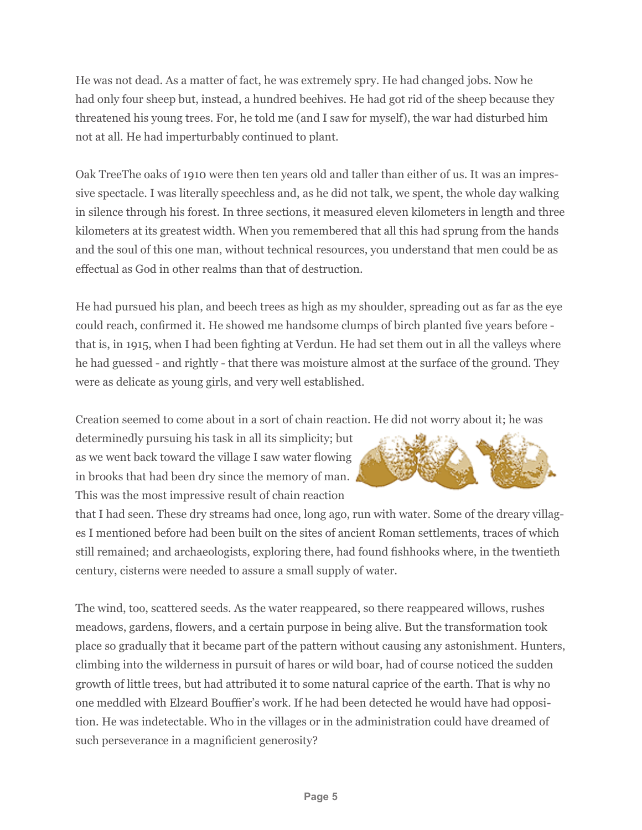He was not dead. As a matter of fact, he was extremely spry. He had changed jobs. Now he had only four sheep but, instead, a hundred beehives. He had got rid of the sheep because they threatened his young trees. For, he told me (and I saw for myself), the war had disturbed him not at all. He had imperturbably continued to plant.

Oak TreeThe oaks of 1910 were then ten years old and taller than either of us. It was an impressive spectacle. I was literally speechless and, as he did not talk, we spent, the whole day walking in silence through his forest. In three sections, it measured eleven kilometers in length and three kilometers at its greatest width. When you remembered that all this had sprung from the hands and the soul of this one man, without technical resources, you understand that men could be as effectual as God in other realms than that of destruction.

He had pursued his plan, and beech trees as high as my shoulder, spreading out as far as the eye could reach, confirmed it. He showed me handsome clumps of birch planted five years before that is, in 1915, when I had been fighting at Verdun. He had set them out in all the valleys where he had guessed - and rightly - that there was moisture almost at the surface of the ground. They were as delicate as young girls, and very well established.

Creation seemed to come about in a sort of chain reaction. He did not worry about it; he was

determinedly pursuing his task in all its simplicity; but as we went back toward the village I saw water flowing in brooks that had been dry since the memory of man. This was the most impressive result of chain reaction



that I had seen. These dry streams had once, long ago, run with water. Some of the dreary villages I mentioned before had been built on the sites of ancient Roman settlements, traces of which still remained; and archaeologists, exploring there, had found fishhooks where, in the twentieth century, cisterns were needed to assure a small supply of water.

The wind, too, scattered seeds. As the water reappeared, so there reappeared willows, rushes meadows, gardens, flowers, and a certain purpose in being alive. But the transformation took place so gradually that it became part of the pattern without causing any astonishment. Hunters, climbing into the wilderness in pursuit of hares or wild boar, had of course noticed the sudden growth of little trees, but had attributed it to some natural caprice of the earth. That is why no one meddled with Elzeard Bouffier's work. If he had been detected he would have had opposition. He was indetectable. Who in the villages or in the administration could have dreamed of such perseverance in a magnificient generosity?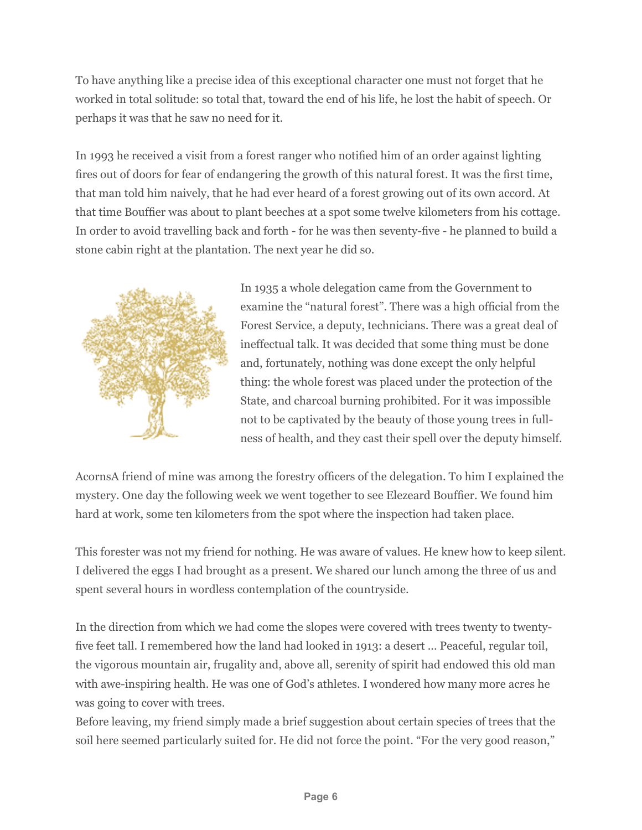To have anything like a precise idea of this exceptional character one must not forget that he worked in total solitude: so total that, toward the end of his life, he lost the habit of speech. Or perhaps it was that he saw no need for it.

In 1993 he received a visit from a forest ranger who notified him of an order against lighting fires out of doors for fear of endangering the growth of this natural forest. It was the first time, that man told him naively, that he had ever heard of a forest growing out of its own accord. At that time Bouffier was about to plant beeches at a spot some twelve kilometers from his cottage. In order to avoid travelling back and forth - for he was then seventy-five - he planned to build a stone cabin right at the plantation. The next year he did so.



In 1935 a whole delegation came from the Government to examine the "natural forest". There was a high official from the Forest Service, a deputy, technicians. There was a great deal of ineffectual talk. It was decided that some thing must be done and, fortunately, nothing was done except the only helpful thing: the whole forest was placed under the protection of the State, and charcoal burning prohibited. For it was impossible not to be captivated by the beauty of those young trees in fullness of health, and they cast their spell over the deputy himself.

AcornsA friend of mine was among the forestry officers of the delegation. To him I explained the mystery. One day the following week we went together to see Elezeard Bouffier. We found him hard at work, some ten kilometers from the spot where the inspection had taken place.

This forester was not my friend for nothing. He was aware of values. He knew how to keep silent. I delivered the eggs I had brought as a present. We shared our lunch among the three of us and spent several hours in wordless contemplation of the countryside.

In the direction from which we had come the slopes were covered with trees twenty to twentyfive feet tall. I remembered how the land had looked in 1913: a desert ... Peaceful, regular toil, the vigorous mountain air, frugality and, above all, serenity of spirit had endowed this old man with awe-inspiring health. He was one of God's athletes. I wondered how many more acres he was going to cover with trees.

Before leaving, my friend simply made a brief suggestion about certain species of trees that the soil here seemed particularly suited for. He did not force the point. "For the very good reason,"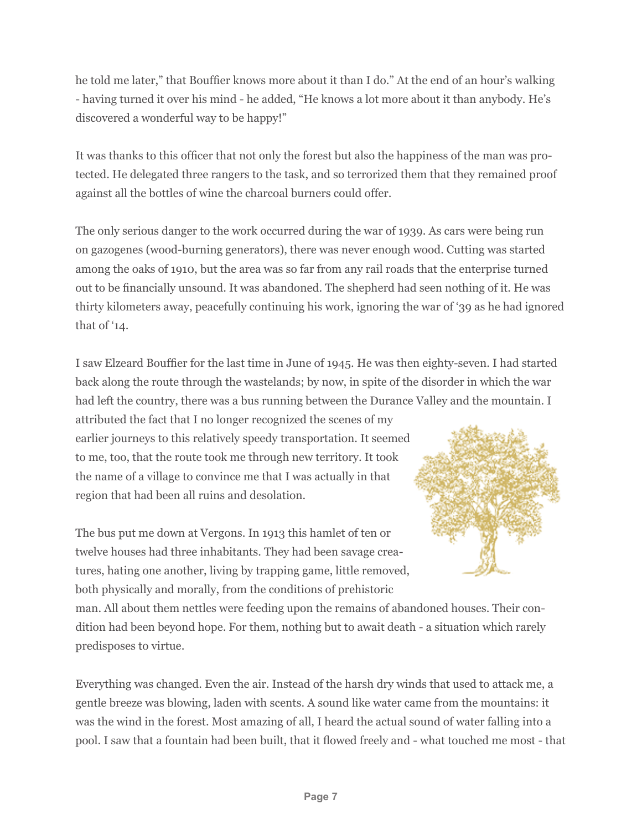he told me later," that Bouffier knows more about it than I do." At the end of an hour's walking - having turned it over his mind - he added, "He knows a lot more about it than anybody. He's discovered a wonderful way to be happy!"

It was thanks to this officer that not only the forest but also the happiness of the man was protected. He delegated three rangers to the task, and so terrorized them that they remained proof against all the bottles of wine the charcoal burners could offer.

The only serious danger to the work occurred during the war of 1939. As cars were being run on gazogenes (wood-burning generators), there was never enough wood. Cutting was started among the oaks of 1910, but the area was so far from any rail roads that the enterprise turned out to be financially unsound. It was abandoned. The shepherd had seen nothing of it. He was thirty kilometers away, peacefully continuing his work, ignoring the war of '39 as he had ignored that of '14.

I saw Elzeard Bouffier for the last time in June of 1945. He was then eighty-seven. I had started back along the route through the wastelands; by now, in spite of the disorder in which the war had left the country, there was a bus running between the Durance Valley and the mountain. I

attributed the fact that I no longer recognized the scenes of my earlier journeys to this relatively speedy transportation. It seemed to me, too, that the route took me through new territory. It took the name of a village to convince me that I was actually in that region that had been all ruins and desolation.

The bus put me down at Vergons. In 1913 this hamlet of ten or twelve houses had three inhabitants. They had been savage creatures, hating one another, living by trapping game, little removed, both physically and morally, from the conditions of prehistoric



man. All about them nettles were feeding upon the remains of abandoned houses. Their condition had been beyond hope. For them, nothing but to await death - a situation which rarely predisposes to virtue.

Everything was changed. Even the air. Instead of the harsh dry winds that used to attack me, a gentle breeze was blowing, laden with scents. A sound like water came from the mountains: it was the wind in the forest. Most amazing of all, I heard the actual sound of water falling into a pool. I saw that a fountain had been built, that it flowed freely and - what touched me most - that